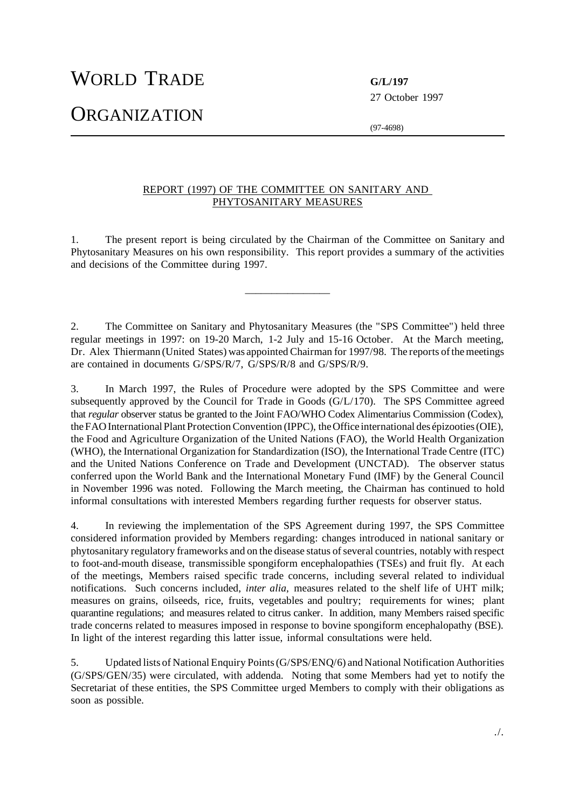WORLD TRADE **G/L/197**

**ORGANIZATION** 

27 October 1997

(97-4698)

## REPORT (1997) OF THE COMMITTEE ON SANITARY AND PHYTOSANITARY MEASURES

1. The present report is being circulated by the Chairman of the Committee on Sanitary and Phytosanitary Measures on his own responsibility. This report provides a summary of the activities and decisions of the Committee during 1997.

 $\overline{\phantom{a}}$  , where the contract of the contract of  $\overline{\phantom{a}}$ 

2. The Committee on Sanitary and Phytosanitary Measures (the "SPS Committee") held three regular meetings in 1997: on 19-20 March, 1-2 July and 15-16 October. At the March meeting, Dr. Alex Thiermann (United States) was appointed Chairman for 1997/98. The reports ofthemeetings are contained in documents G/SPS/R/7, G/SPS/R/8 and G/SPS/R/9.

3. In March 1997, the Rules of Procedure were adopted by the SPS Committee and were subsequently approved by the Council for Trade in Goods (G/L/170). The SPS Committee agreed that *regular* observer status be granted to the Joint FAO/WHO Codex Alimentarius Commission (Codex), the FAO International Plant Protection Convention (IPPC), the Office international des épizooties (OIE), the Food and Agriculture Organization of the United Nations (FAO), the World Health Organization (WHO), the International Organization for Standardization (ISO), the International Trade Centre (ITC) and the United Nations Conference on Trade and Development (UNCTAD). The observer status conferred upon the World Bank and the International Monetary Fund (IMF) by the General Council in November 1996 was noted. Following the March meeting, the Chairman has continued to hold informal consultations with interested Members regarding further requests for observer status.

4. In reviewing the implementation of the SPS Agreement during 1997, the SPS Committee considered information provided by Members regarding: changes introduced in national sanitary or phytosanitary regulatory frameworks and on the disease status of several countries, notably with respect to foot-and-mouth disease, transmissible spongiform encephalopathies (TSEs) and fruit fly. At each of the meetings, Members raised specific trade concerns, including several related to individual notifications. Such concerns included, *inter alia*, measures related to the shelf life of UHT milk; measures on grains, oilseeds, rice, fruits, vegetables and poultry; requirements for wines; plant quarantine regulations; and measures related to citrus canker. In addition, many Members raised specific trade concerns related to measures imposed in response to bovine spongiform encephalopathy (BSE). In light of the interest regarding this latter issue, informal consultations were held.

5. Updated lists of NationalEnquiry Points(G/SPS/ENQ/6) and National Notification Authorities (G/SPS/GEN/35) were circulated, with addenda. Noting that some Members had yet to notify the Secretariat of these entities, the SPS Committee urged Members to comply with their obligations as soon as possible.